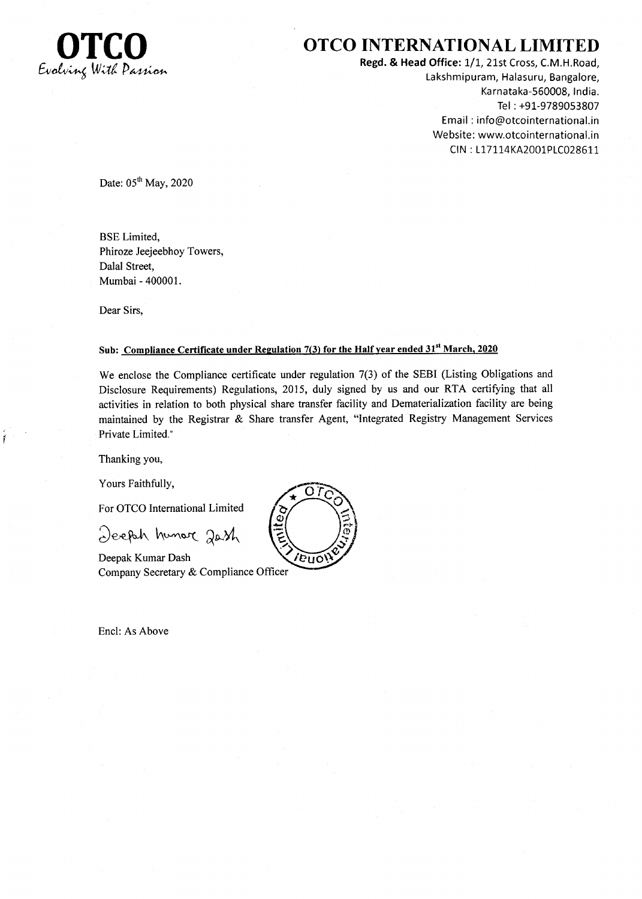

## OTCO OTCO INTERNATIONAL LIMITED

Regd. & Head Office: 1/1, 21st Cross, C.M.H.Road, Lakshmipuram, Halasuru, Bangalore, Ka rnataka-550008, lndia. Tel : +91-9789053807 Email : info@otcointernational.in Website: www.otcointernational.in CIN : 117114KA2001P1C0286L1.

Date:  $05<sup>th</sup>$  May, 2020

BSE Limited, Phiroze Jeejeebhoy Towers, Dalal Street, Mumbai - 400001.

Dear Sirs,

## Sub: Compliance Certificate under Regulation 7(3) for the Half year ended 31<sup>st</sup> March, 2020

We enclose the Compliance certificate under regulation 7(3) of the SEBI (Listing Obligations and Disclosure Requirements) Regulations, 2015, duly signed by us and our RTA certifying that all activities in relation to both physical share transfer facility and Dematerialization facility are being maintained by the Registrar & Share transfer Agent, "Integrated Registry Management Services Private Limited."

Thanking you,

Yours Faithfully,

For OTCO International Limited

Deeph hunor 2ash

Deepak Kumar Dash Company Secretary & Compliance Officer

Encl: As Above